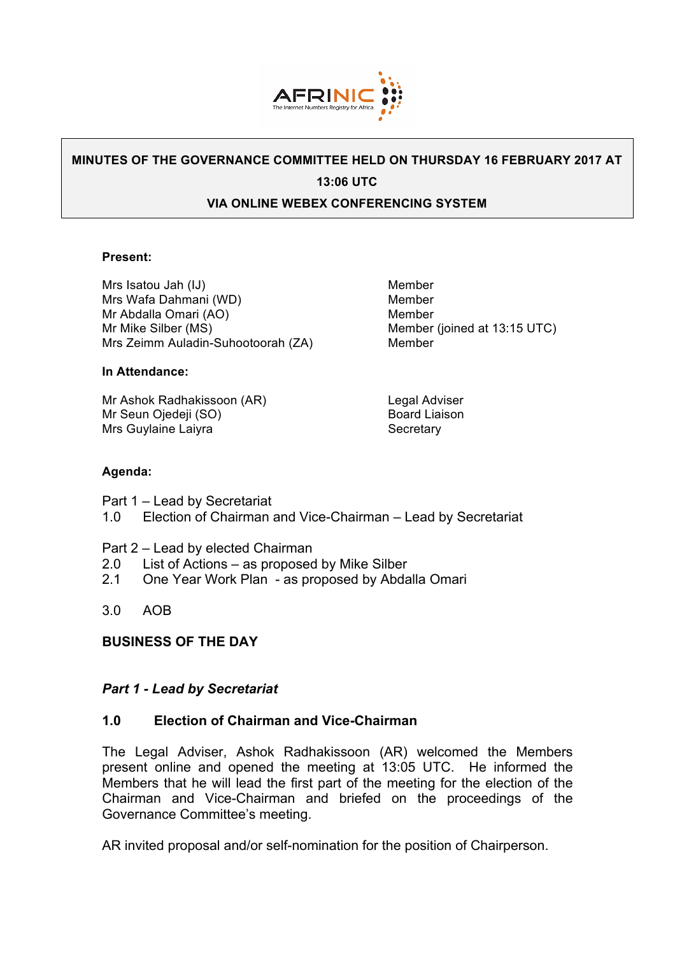

# **MINUTES OF THE GOVERNANCE COMMITTEE HELD ON THURSDAY 16 FEBRUARY 2017 AT 13:06 UTC**

### **VIA ONLINE WEBEX CONFERENCING SYSTEM**

#### **Present:**

Mrs Isatou Jah (IJ) Member Mrs Wafa Dahmani (WD) Member Mr Abdalla Omari (AO) Member Mr Mike Silber (MS) Member (joined at 13:15 UTC) Mrs Zeimm Auladin-Suhootoorah (ZA) Member

#### **In Attendance:**

Mr Ashok Radhakissoon (AR) Legal Adviser Mr Seun Ojedeji (SO) Board Liaison Mrs Guylaine Laiyra **Secretary** Secretary

#### **Agenda:**

Part 1 – Lead by Secretariat

- 1.0 Election of Chairman and Vice-Chairman Lead by Secretariat
- Part 2 Lead by elected Chairman
- 2.0 List of Actions as proposed by Mike Silber
- 2.1 One Year Work Plan as proposed by Abdalla Omari
- 3.0 AOB

## **BUSINESS OF THE DAY**

#### *Part 1 - Lead by Secretariat*

#### **1.0 Election of Chairman and Vice-Chairman**

The Legal Adviser, Ashok Radhakissoon (AR) welcomed the Members present online and opened the meeting at 13:05 UTC. He informed the Members that he will lead the first part of the meeting for the election of the Chairman and Vice-Chairman and briefed on the proceedings of the Governance Committee's meeting.

AR invited proposal and/or self-nomination for the position of Chairperson.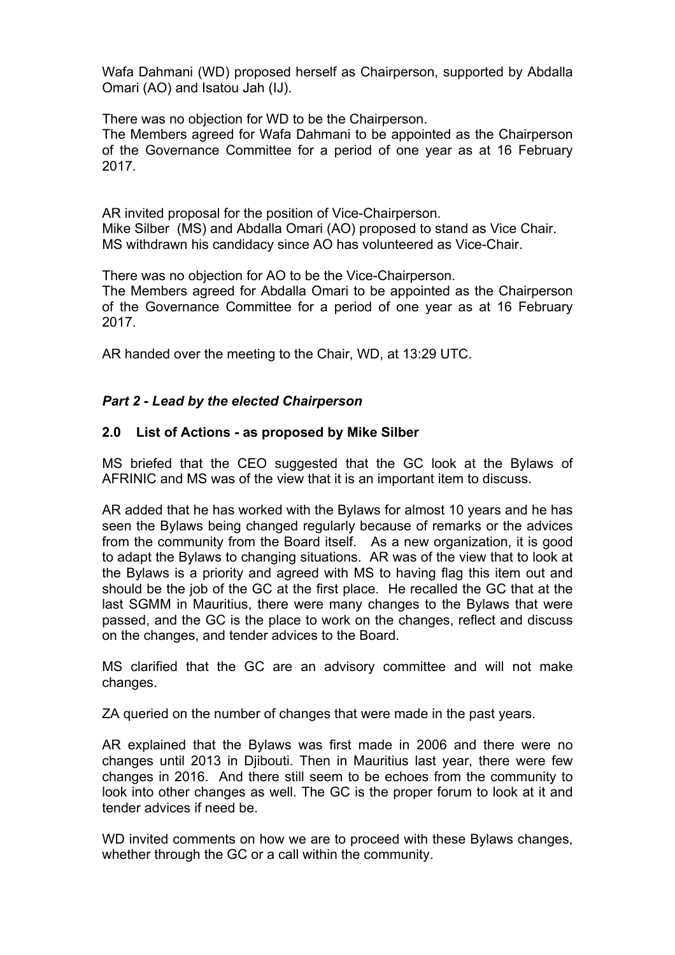Wafa Dahmani (WD) proposed herself as Chairperson, supported by Abdalla Omari (AO) and Isatou Jah (IJ).

There was no objection for WD to be the Chairperson.

The Members agreed for Wafa Dahmani to be appointed as the Chairperson of the Governance Committee for a period of one year as at 16 February 2017.

AR invited proposal for the position of Vice-Chairperson. Mike Silber (MS) and Abdalla Omari (AO) proposed to stand as Vice Chair. MS withdrawn his candidacy since AO has volunteered as Vice-Chair.

There was no objection for AO to be the Vice-Chairperson.

The Members agreed for Abdalla Omari to be appointed as the Chairperson of the Governance Committee for a period of one year as at 16 February 2017.

AR handed over the meeting to the Chair, WD, at 13:29 UTC.

# *Part 2 - Lead by the elected Chairperson*

# **2.0 List of Actions - as proposed by Mike Silber**

MS briefed that the CEO suggested that the GC look at the Bylaws of AFRINIC and MS was of the view that it is an important item to discuss.

AR added that he has worked with the Bylaws for almost 10 years and he has seen the Bylaws being changed regularly because of remarks or the advices from the community from the Board itself. As a new organization, it is good to adapt the Bylaws to changing situations. AR was of the view that to look at the Bylaws is a priority and agreed with MS to having flag this item out and should be the job of the GC at the first place. He recalled the GC that at the last SGMM in Mauritius, there were many changes to the Bylaws that were passed, and the GC is the place to work on the changes, reflect and discuss on the changes, and tender advices to the Board.

MS clarified that the GC are an advisory committee and will not make changes.

ZA queried on the number of changes that were made in the past years.

AR explained that the Bylaws was first made in 2006 and there were no changes until 2013 in Djibouti. Then in Mauritius last year, there were few changes in 2016. And there still seem to be echoes from the community to look into other changes as well. The GC is the proper forum to look at it and tender advices if need be.

WD invited comments on how we are to proceed with these Bylaws changes, whether through the GC or a call within the community.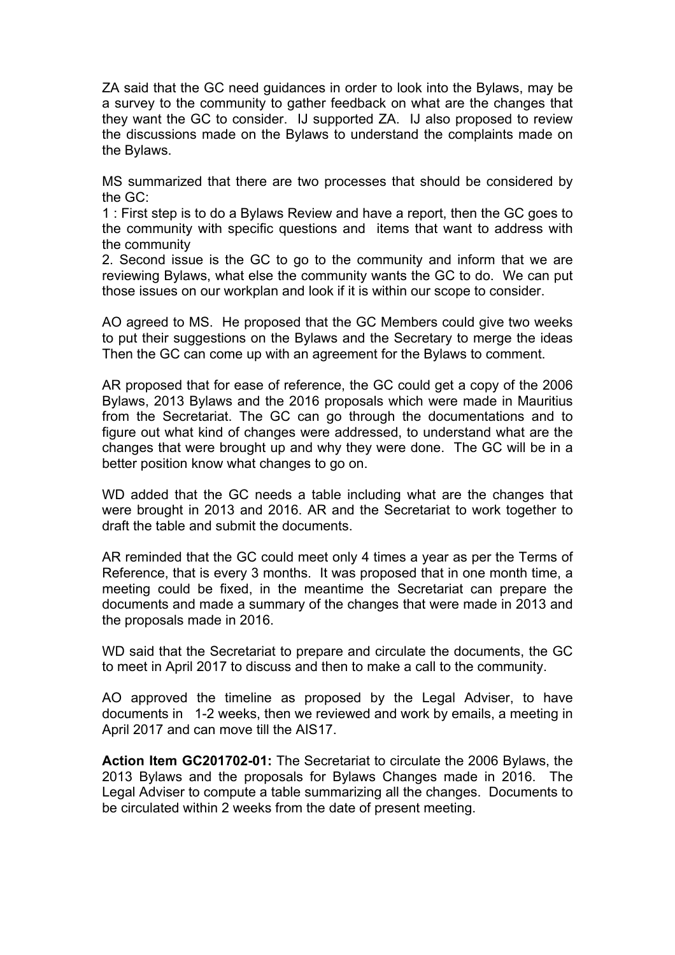ZA said that the GC need guidances in order to look into the Bylaws, may be a survey to the community to gather feedback on what are the changes that they want the GC to consider. IJ supported ZA. IJ also proposed to review the discussions made on the Bylaws to understand the complaints made on the Bylaws.

MS summarized that there are two processes that should be considered by the GC:

1 : First step is to do a Bylaws Review and have a report, then the GC goes to the community with specific questions and items that want to address with the community

2. Second issue is the GC to go to the community and inform that we are reviewing Bylaws, what else the community wants the GC to do. We can put those issues on our workplan and look if it is within our scope to consider.

AO agreed to MS. He proposed that the GC Members could give two weeks to put their suggestions on the Bylaws and the Secretary to merge the ideas Then the GC can come up with an agreement for the Bylaws to comment.

AR proposed that for ease of reference, the GC could get a copy of the 2006 Bylaws, 2013 Bylaws and the 2016 proposals which were made in Mauritius from the Secretariat. The GC can go through the documentations and to figure out what kind of changes were addressed, to understand what are the changes that were brought up and why they were done. The GC will be in a better position know what changes to go on.

WD added that the GC needs a table including what are the changes that were brought in 2013 and 2016. AR and the Secretariat to work together to draft the table and submit the documents.

AR reminded that the GC could meet only 4 times a year as per the Terms of Reference, that is every 3 months. It was proposed that in one month time, a meeting could be fixed, in the meantime the Secretariat can prepare the documents and made a summary of the changes that were made in 2013 and the proposals made in 2016.

WD said that the Secretariat to prepare and circulate the documents, the GC to meet in April 2017 to discuss and then to make a call to the community.

AO approved the timeline as proposed by the Legal Adviser, to have documents in 1-2 weeks, then we reviewed and work by emails, a meeting in April 2017 and can move till the AIS17.

**Action Item GC201702-01:** The Secretariat to circulate the 2006 Bylaws, the 2013 Bylaws and the proposals for Bylaws Changes made in 2016. The Legal Adviser to compute a table summarizing all the changes. Documents to be circulated within 2 weeks from the date of present meeting.